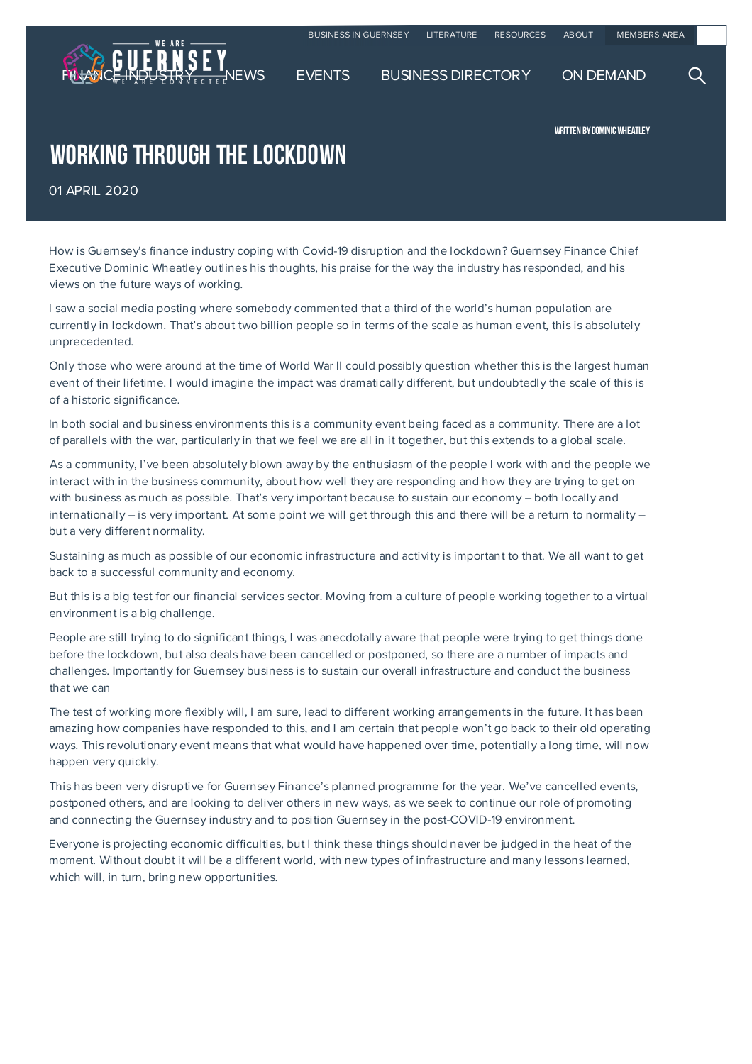

WRITTEN BY DOMINIC WHEATLEY

## WORKING THROUGH THE LOCKDOWN

01 APRIL 2020

How is Guernsey's finance industry coping with Covid-19 disruption and the lockdown? Guernsey Finance Chief Executive Dominic Wheatley outlines his thoughts, his praise for the way the industry has responded, and his views on the future ways of working.

I saw a social media posting where somebody commented that a third of the world's human population are currently in lockdown. That's about two billion people so in terms of the scale as human event, this is absolutely unprecedented.

Only those who were around at the time of World War II could possibly question whether this is the largest human event of their lifetime. I would imagine the impact was dramatically different, but undoubtedly the scale of this is of a historic significance.

In both social and business environments this is a community event being faced as a community. There are a lot of parallels with the war, particularly in that we feel we are all in it together, but this extends to a global scale.

As a community, I've been absolutely blown away by the enthusiasm of the people I work with and the people we interact with in the business community, about how well they are responding and how they are trying to get on with business as much as possible. That's very important because to sustain our economy – both locally and internationally – is very important. At some point we will get through this and there will be a return to normality – but a very different normality.

Sustaining as much as possible of our economic infrastructure and activity is important to that. We all want to get back to a successful community and economy.

But this is a big test for our financial services sector. Moving from a culture of people working together to a virtual environment is a big challenge.

People are still trying to do significant things, I was anecdotally aware that people were trying to get things done before the lockdown, but also deals have been cancelled or postponed, so there are a number of impacts and challenges. Importantly for Guernsey business is to sustain our overall infrastructure and conduct the business that we can

The test of working more flexibly will, I am sure, lead to different working arrangements in the future. It has been amazing how companies have responded to this, and I am certain that people won't go back to their old operating ways. This revolutionary event means that what would have happened over time, potentially a long time, will now happen very quickly.

This has been very disruptive for Guernsey Finance's planned programme for the year. We've cancelled events, postponed others, and are looking to deliver others in new ways, as we seek to continue our role of promoting and connecting the Guernsey industry and to position Guernsey in the post-COVID-19 environment.

Everyone is projecting economic difficulties, but I think these things should never be judged in the heat of the moment. Without doubt it will be a different world, with new types of infrastructure and many lessons learned, which will, in turn, bring new opportunities.